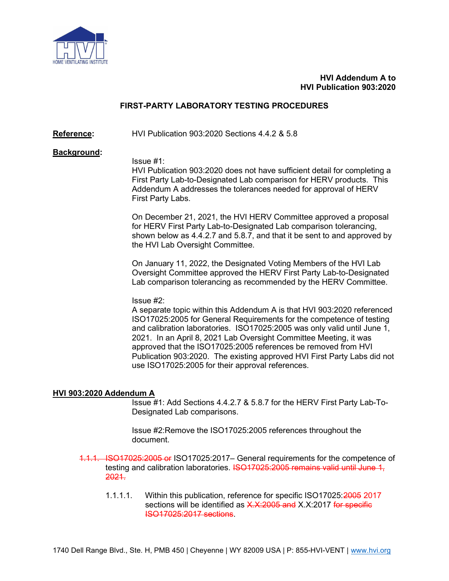

## HVI Addendum A to HVI Publication 903:2020

# FIRST-PARTY LABORATORY TESTING PROCEDURES

Reference: HVI Publication 903:2020 Sections 4.4.2 & 5.8

#### Background:

Issue #1:

HVI Publication 903:2020 does not have sufficient detail for completing a First Party Lab-to-Designated Lab comparison for HERV products. This Addendum A addresses the tolerances needed for approval of HERV First Party Labs.

On December 21, 2021, the HVI HERV Committee approved a proposal for HERV First Party Lab-to-Designated Lab comparison tolerancing, shown below as 4.4.2.7 and 5.8.7, and that it be sent to and approved by the HVI Lab Oversight Committee.

On January 11, 2022, the Designated Voting Members of the HVI Lab Oversight Committee approved the HERV First Party Lab-to-Designated Lab comparison tolerancing as recommended by the HERV Committee.

Issue #2:

A separate topic within this Addendum A is that HVI 903:2020 referenced ISO17025:2005 for General Requirements for the competence of testing and calibration laboratories. ISO17025:2005 was only valid until June 1, 2021. In an April 8, 2021 Lab Oversight Committee Meeting, it was approved that the ISO17025:2005 references be removed from HVI Publication 903:2020. The existing approved HVI First Party Labs did not use ISO17025:2005 for their approval references.

## HVI 903:2020 Addendum A

 Issue #1: Add Sections 4.4.2.7 & 5.8.7 for the HERV First Party Lab-To-Designated Lab comparisons.

Issue #2:Remove the ISO17025:2005 references throughout the document.

1.1.1. ISO17025:2005 or ISO17025:2017– General requirements for the competence of testing and calibration laboratories. ISO17025:2005 remains valid until June 1, 2021.

1.1.1.1. Within this publication, reference for specific ISO17025:2005 2017 sections will be identified as X.X:2005 and X.X:2017 for specific ISO17025:2017 sections.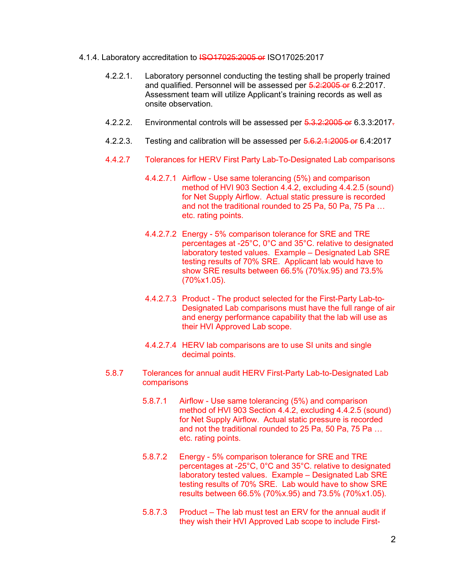- 4.1.4. Laboratory accreditation to **ISO17025:2005 or ISO17025:2017** 
	- 4.2.2.1. Laboratory personnel conducting the testing shall be properly trained and qualified. Personnel will be assessed per 5.2:2005 or 6.2:2017. Assessment team will utilize Applicant's training records as well as onsite observation.
	- 4.2.2.2. Environmental controls will be assessed per 5.3.2:2005 or 6.3.3:2017.
	- 4.2.2.3. Testing and calibration will be assessed per 5.6.2.1:2005 or 6.4:2017
	- 4.4.2.7 Tolerances for HERV First Party Lab-To-Designated Lab comparisons
		- 4.4.2.7.1 Airflow Use same tolerancing (5%) and comparison method of HVI 903 Section 4.4.2, excluding 4.4.2.5 (sound) for Net Supply Airflow. Actual static pressure is recorded and not the traditional rounded to 25 Pa, 50 Pa, 75 Pa … etc. rating points.
		- 4.4.2.7.2 Energy 5% comparison tolerance for SRE and TRE percentages at -25°C, 0°C and 35°C. relative to designated laboratory tested values. Example – Designated Lab SRE testing results of 70% SRE. Applicant lab would have to show SRE results between 66.5% (70%x.95) and 73.5% (70%x1.05).
		- 4.4.2.7.3 Product The product selected for the First-Party Lab-to-Designated Lab comparisons must have the full range of air and energy performance capability that the lab will use as their HVI Approved Lab scope.
		- 4.4.2.7.4 HERV lab comparisons are to use SI units and single decimal points.
	- 5.8.7 Tolerances for annual audit HERV First-Party Lab-to-Designated Lab comparisons
		- 5.8.7.1 Airflow Use same tolerancing (5%) and comparison method of HVI 903 Section 4.4.2, excluding 4.4.2.5 (sound) for Net Supply Airflow. Actual static pressure is recorded and not the traditional rounded to 25 Pa, 50 Pa, 75 Pa … etc. rating points.
		- 5.8.7.2 Energy 5% comparison tolerance for SRE and TRE percentages at -25°C, 0°C and 35°C. relative to designated laboratory tested values. Example – Designated Lab SRE testing results of 70% SRE. Lab would have to show SRE results between 66.5% (70%x.95) and 73.5% (70%x1.05).
		- 5.8.7.3 Product The lab must test an ERV for the annual audit if they wish their HVI Approved Lab scope to include First-